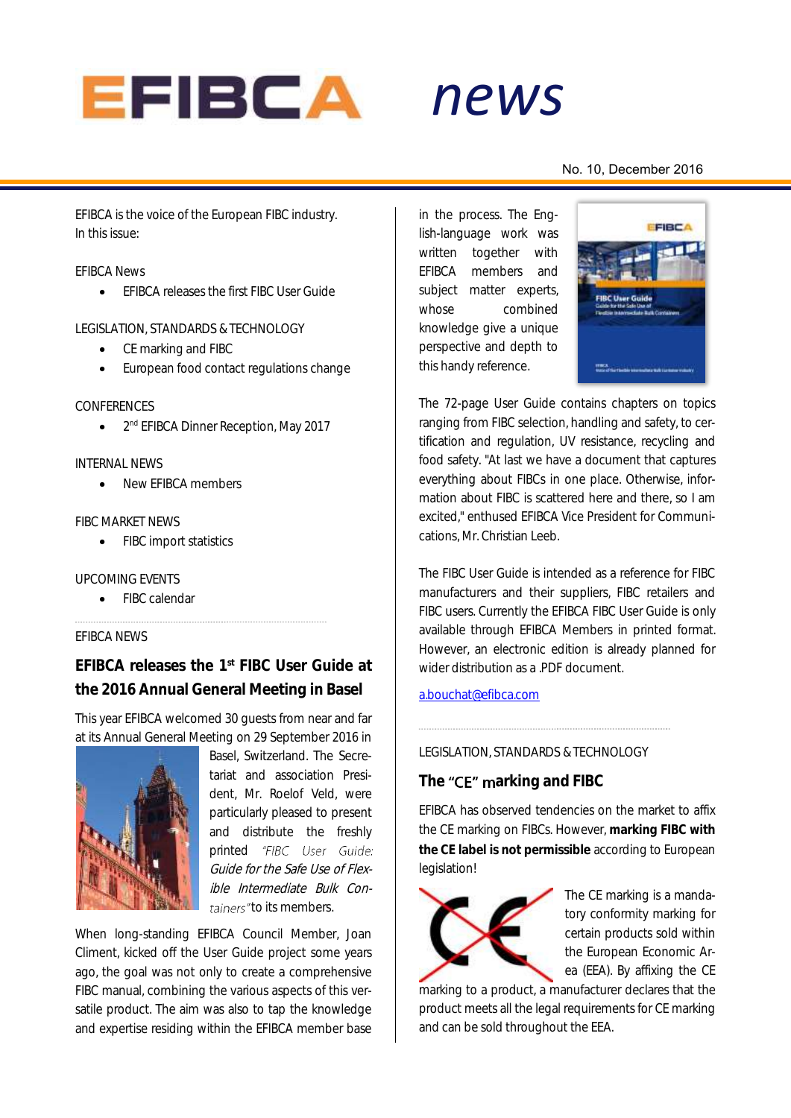

*news*

### No. 10, December 2016

EFIBCA is the voice of the European FIBC industry. In this issue:

### EFIBCA News

**•** FFIBCA releases the first FIBC User Guide

LEGISLATION, STANDARDS & TECHNOLOGY

- CE marking and FIBC
- European food contact regulations change

### CONFERENCES

 $\bullet$ 2<sup>nd</sup> EFIBCA Dinner Reception, May 2017

### INTERNAL NEWS

New EFIBCA members

### FIBC MARKET NEWS

• FIBC import statistics

### UPCOMING EVENTS

• FIBC calendar

## EFIBCA NEWS

**EFIBCA releases the 1 st FIBC User Guide at the 2016 Annual General Meeting in Basel**

This year EFIBCA welcomed 30 guests from near and far at its Annual General Meeting on 29 September 2016 in



Basel, Switzerland. The Secretariat and association President, Mr. Roelof Veld, were particularly pleased to present and distribute the freshly printed "FIBC User Guide: Guide for the Safe Use of Flexible Intermediate Bulk Containers" to its members.

When long-standing EFIBCA Council Member, Joan Climent, kicked off the User Guide project some years ago, the goal was not only to create a comprehensive FIBC manual, combining the various aspects of this versatile product. The aim was also to tap the knowledge and expertise residing within the EFIBCA member base

*alert* in the process. The English-language work was written together with EFIBCA members and subject matter experts. whose combined knowledge give a unique perspective and depth to this handy reference.



The 72-page User Guide contains chapters on topics ranging from FIBC selection, handling and safety, to certification and regulation, UV resistance, recycling and food safety. "At last we have a document that captures everything about FIBCs in one place. Otherwise, information about FIBC is scattered here and there, so I am excited," enthused EFIBCA Vice President for Communications, Mr. Christian Leeb.

The FIBC User Guide is intended as a reference for FIBC manufacturers and their suppliers, FIBC retailers and FIBC users. Currently the EFIBCA FIBC User Guide is only available through EFIBCA Members in printed format. However, an electronic edition is already planned for wider distribution as a .PDF document.

# [a.bouchat@efibca.com](mailto:a.bouchat@efibca.com)

### LEGISLATION, STANDARDS & TECHNOLOGY

# The "CE" marking and FIBC

EFIBCA has observed tendencies on the market to affix the CE marking on FIBCs. However, **marking FIBC with the CE label is not permissible** according to European legislation!



The CE marking is a mandatory conformity marking for certain products sold within the European Economic Area (EEA). By affixing the CE

marking to a product, a manufacturer declares that the product meets all the legal requirements for CE marking and can be sold throughout the EEA.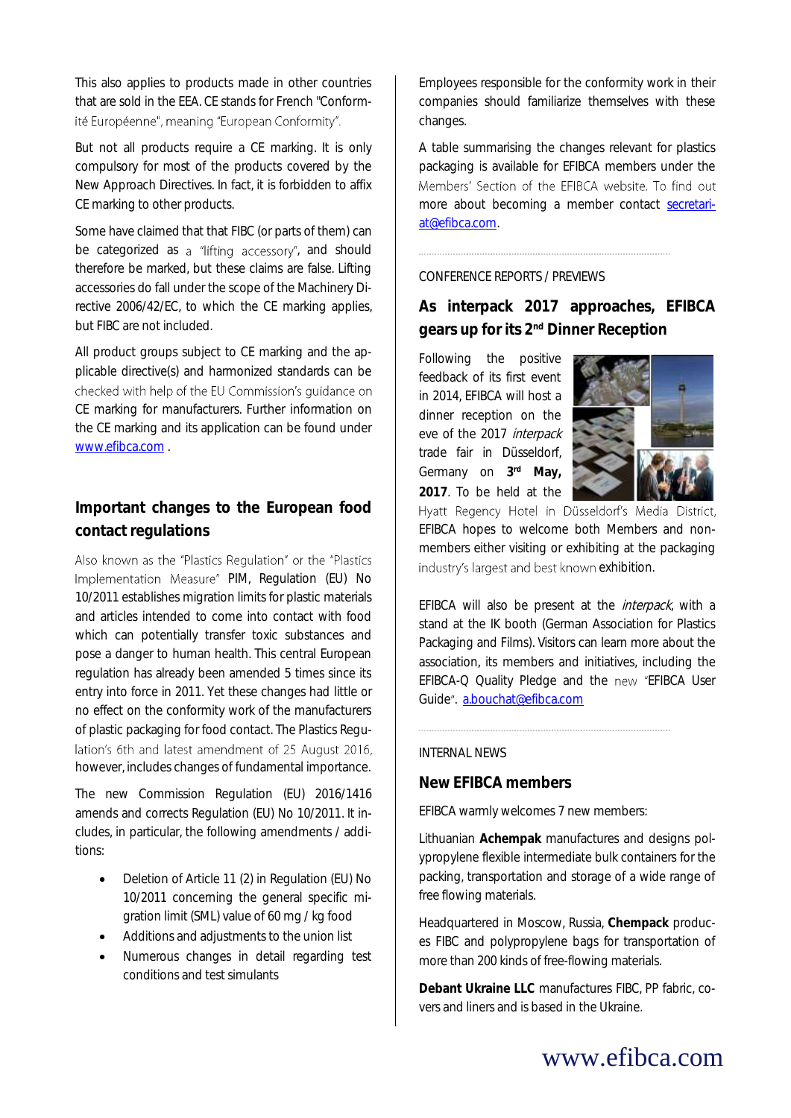This also applies to products made in other countries that are sold in the EEA. CE stands for French "Conformité Européenne", meaning "European Conformity".

But not all products require a CE marking. It is only compulsory for most of the products covered by the New Approach Directives. In fact, it is forbidden to affix CE marking to other products.

Some have claimed that that FIBC (or parts of them) can be categorized as a "lifting accessory", and should therefore be marked, but these claims are false. Lifting accessories do fall under the scope of the Machinery Directive 2006/42/EC, to which the CE marking applies, but FIBC are not included.

All product groups subject to CE marking and the applicable directive(s) and harmonized standards can be checked with help of the EU Commission's quidance on CE marking for manufacturers. Further information on the CE marking and its application can be found under [www.efibca.com](http://www.efibca.com/) .

# **Important changes to the European food contact regulations**

Also known as the "Plastics Regulation" or the "Plastics Implementation Measure" PIM, Regulation (EU) No 10/2011 establishes migration limits for plastic materials and articles intended to come into contact with food which can potentially transfer toxic substances and pose a danger to human health. This central European regulation has already been amended 5 times since its entry into force in 2011. Yet these changes had little or no effect on the conformity work of the manufacturers of plastic packaging for food contact. The Plastics Regulation's 6th and latest amendment of 25 August 2016, however, includes changes of fundamental importance.

The new Commission Regulation (EU) 2016/1416 amends and corrects Regulation (EU) No 10/2011. It includes, in particular, the following amendments / additions:

- Deletion of Article 11 (2) in Regulation (EU) No 10/2011 concerning the general specific migration limit (SML) value of 60 mg / kg food
- Additions and adjustments to the union list
- Numerous changes in detail regarding test conditions and test simulants

Employees responsible for the conformity work in their companies should familiarize themselves with these changes.

A table summarising the changes relevant for plastics packaging is available for EFIBCA members under the Members' Section of the EFIBCA website. To find out more about becoming a member contact [secretari](file:///C:/Users/Allison/AppData/Roaming/Microsoft/Word/secretariat@efibca.com)[at@efibca.com.](file:///C:/Users/Allison/AppData/Roaming/Microsoft/Word/secretariat@efibca.com) 

# CONFERENCE REPORTS / PREVIEWS

**As interpack 2017 approaches, EFIBCA gears up for its 2nd Dinner Reception**

Following the positive feedback of its first event in 2014, EFIBCA will host a dinner reception on the eve of the 2017 interpack trade fair in Düsseldorf, Germany on 3<sup>rd</sup> May, **2017**. To be held at the



Hyatt Regency Hotel in Düsseldorf's Media District, EFIBCA hopes to welcome both Members and nonmembers either visiting or exhibiting at the packaging industry's largest and best known exhibition.

EFIBCA will also be present at the *interpack*, with a stand at the IK booth (German Association for Plastics Packaging and Films). Visitors can learn more about the association, its members and initiatives, including the EFIBCA-Q Quality Pledge and the new "EFIBCA User Guide", [a.bouchat@efibca.com](mailto:a.bouchat@efibca.com)

### INTERNAL NEWS

# **New EFIBCA members**

EFIBCA warmly welcomes 7 new members:

Lithuanian **Achempak** manufactures and designs polypropylene flexible intermediate bulk containers for the packing, transportation and storage of a wide range of free flowing materials.

Headquartered in Moscow, Russia, **Chempack** produces FIBC and polypropylene bags for transportation of more than 200 kinds of free-flowing materials.

**Debant Ukraine LLC** manufactures FIBC, PP fabric, covers and liners and is based in the Ukraine.

# www.efibca.com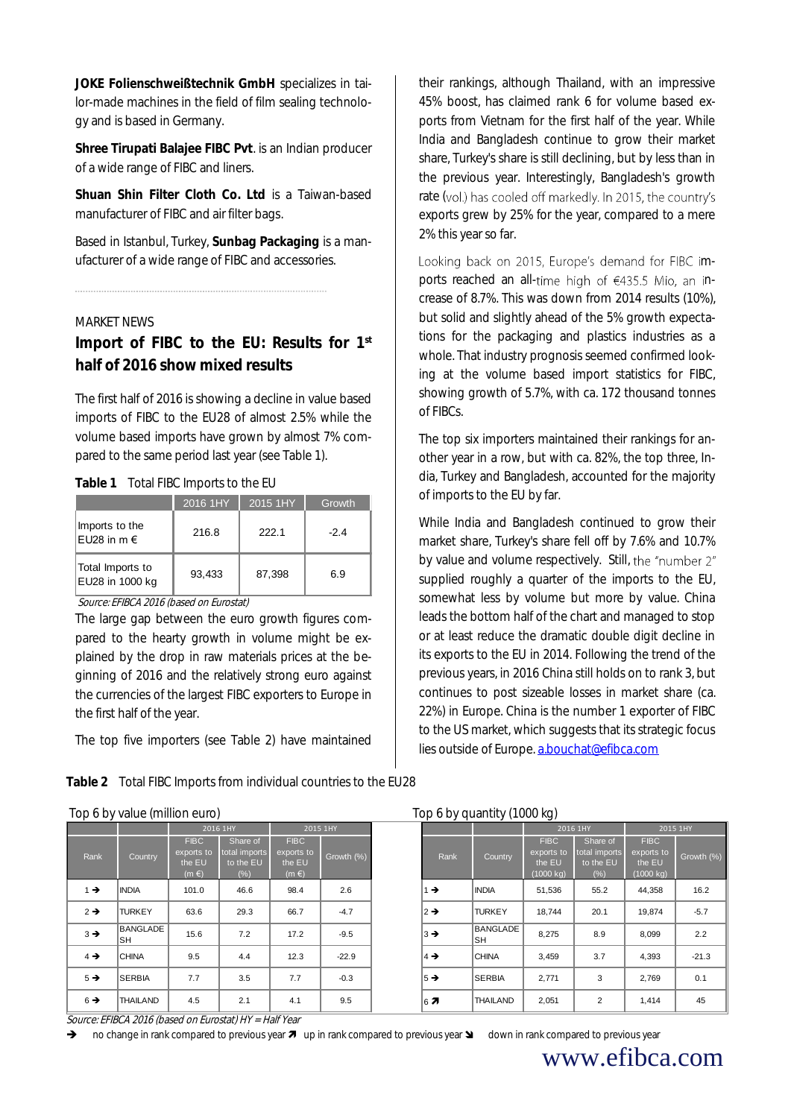**JOKE Folienschweißtechnik GmbH** specializes in tailor-made machines in the field of film sealing technology and is based in Germany.

**Shree Tirupati Balajee FIBC Pvt**. is an Indian producer of a wide range of FIBC and liners.

**Shuan Shin Filter Cloth Co. Ltd** is a Taiwan-based manufacturer of FIBC and air filter bags.

Based in Istanbul, Turkey, **Sunbag Packaging** is a manufacturer of a wide range of FIBC and accessories.

### MARKET NEWS

**Import of FIBC to the EU: Results for 1st half of 2016 show mixed results**

The first half of 2016 is showing a decline in value based imports of FIBC to the EU28 of almost 2.5% while the volume based imports have grown by almost 7% compared to the same period last year (see Table 1).

| Total FIBC Imports to the EU<br>Table 1 |
|-----------------------------------------|
|-----------------------------------------|

|                                     | 2016 1HY | 2015 1HY | Growth |
|-------------------------------------|----------|----------|--------|
| Imports to the<br>EU28 in $m \in$   | 216.8    | 222.1    | $-2.4$ |
| Total Imports to<br>EU28 in 1000 kg | 93,433   | 87,398   | 6.9    |

Source: EFIBCA 2016 (based on Eurostat)

The large gap between the euro growth figures compared to the hearty growth in volume might be explained by the drop in raw materials prices at the beginning of 2016 and the relatively strong euro against the currencies of the largest FIBC exporters to Europe in the first half of the year.

The top five importers (see Table 2) have maintained

**Table 2** Total FIBC Imports from individual countries to the EU28

#### Top 6 by value (million euro) Top 6 by quantity (1000 kg)

|                                                                                                                                                                                                                                      |                 |                                                  | 2016 1HY                                      |                                                  | 2015 1HY   |  |                       |                       | 2016 1HY                                                   |                                                |                                             |
|--------------------------------------------------------------------------------------------------------------------------------------------------------------------------------------------------------------------------------------|-----------------|--------------------------------------------------|-----------------------------------------------|--------------------------------------------------|------------|--|-----------------------|-----------------------|------------------------------------------------------------|------------------------------------------------|---------------------------------------------|
| Rank                                                                                                                                                                                                                                 | Country         | <b>FIBC</b><br>exports to<br>the EU<br>$(m \in)$ | Share of<br>total imports<br>to the EU<br>(%) | <b>FIBC</b><br>exports to<br>the EU<br>$(m \in)$ | Growth (%) |  | Rank                  | Country               | <b>FIBC</b><br>exports to<br>the EU<br>$(1000 \text{ kg})$ | Share of<br>total imports<br>to the EU<br>(% ) | <b>FIBC</b><br>exports<br>the El<br>(1000 k |
| $1 \rightarrow$                                                                                                                                                                                                                      | <b>INDIA</b>    | 101.0                                            | 46.6                                          | 98.4                                             | 2.6        |  | $1 \rightarrow$       | <b>INDIA</b>          | 51,536                                                     | 55.2                                           | 44,35                                       |
| $2 \rightarrow$                                                                                                                                                                                                                      | <b>TURKEY</b>   | 63.6                                             | 29.3                                          | 66.7                                             | $-4.7$     |  | $2 \rightarrow$       | <b>TURKEY</b>         | 18,744                                                     | 20.1                                           | 19,87                                       |
| $3 \rightarrow$                                                                                                                                                                                                                      | BANGLADE<br>SH  | 15.6                                             | 7.2                                           | 17.2                                             | $-9.5$     |  | $3 \rightarrow$       | <b>BANGLADE</b><br>SH | 8,275                                                      | 8.9                                            | 8,099                                       |
| $4 \rightarrow$                                                                                                                                                                                                                      | <b>CHINA</b>    | 9.5                                              | 4.4                                           | 12.3                                             | $-22.9$    |  | $\vert 4 \rightarrow$ | <b>CHINA</b>          | 3,459                                                      | 3.7                                            | 4,393                                       |
| $5 \rightarrow$                                                                                                                                                                                                                      | <b>SERBIA</b>   | 7.7                                              | 3.5                                           | 7.7                                              | $-0.3$     |  | $5 \rightarrow$       | <b>SERBIA</b>         | 2,771                                                      | 3                                              | 2,769                                       |
| $6 \rightarrow$                                                                                                                                                                                                                      | <b>THAILAND</b> | 4.5                                              | 2.1                                           | 4.1                                              | 9.5        |  | $6\overline{7}$       | <b>THAILAND</b>       | 2,051                                                      | 2                                              | 1.414                                       |
| Source: EFIBCA 2016 (based on Eurostat) HY = Half Year<br>→<br>no change in rank compared to previous year $\blacktriangledown$ up in rank compared to previous year $\blacktriangleright$<br>down in rank compared to previous year |                 |                                                  |                                               |                                                  |            |  |                       |                       |                                                            |                                                |                                             |

their rankings, although Thailand, with an impressive 45% boost, has claimed rank 6 for volume based exports from Vietnam for the first half of the year. While India and Bangladesh continue to grow their market share, Turkey's share is still declining, but by less than in the previous year. Interestingly, Bangladesh's growth rate (vol.) has cooled off markedly. In 2015, the country's exports grew by 25% for the year, compared to a mere 2% this year so far.

Looking back on 2015, Europe's demand for FIBC imports reached an all-time high of  $\epsilon$ 435.5 Mio, an increase of 8.7%. This was down from 2014 results (10%), but solid and slightly ahead of the 5% growth expectations for the packaging and plastics industries as a whole. That industry prognosis seemed confirmed looking at the volume based import statistics for FIBC, showing growth of 5.7%, with ca. 172 thousand tonnes of FIBCs.

The top six importers maintained their rankings for another year in a row, but with ca. 82%, the top three, India, Turkey and Bangladesh, accounted for the majority of imports to the EU by far.

While India and Bangladesh continued to grow their market share, Turkey's share fell off by 7.6% and 10.7% by value and volume respectively. Still, the "number 2" supplied roughly a quarter of the imports to the EU, somewhat less by volume but more by value. China leads the bottom half of the chart and managed to stop or at least reduce the dramatic double digit decline in its exports to the EU in 2014. Following the trend of the previous years, in 2016 China still holds on to rank 3, but continues to post sizeable losses in market share (ca. 22%) in Europe. China is the number 1 exporter of FIBC to the US market, which suggests that its strategic focus lies outside of Europe. [a.bouchat@efibca.com](mailto:a.bouchat@efibca.com)

|                                               | .00107<br>$1.9p$ $3.9p$ $4.9p$ $1.1p$ $1.9p$ $1.9p$ |                                                  |            |  |                  |                         |                                                  |                                                |                                                            |            |
|-----------------------------------------------|-----------------------------------------------------|--------------------------------------------------|------------|--|------------------|-------------------------|--------------------------------------------------|------------------------------------------------|------------------------------------------------------------|------------|
| 2016 1HY                                      |                                                     |                                                  | 2015 1HY   |  |                  |                         |                                                  | 2016 1HY                                       | 2015 1HY                                                   |            |
| <b>FIBC</b><br>ports to<br>he EU<br>$(m \in)$ | Share of<br>total imports<br>to the EU<br>$(\%)$    | <b>FIBC</b><br>exports to<br>the EU<br>$(m \in)$ | Growth (%) |  | <b>Rank</b>      | Country                 | <b>FIBC</b><br>exports to<br>the EU<br>(1000 kg) | Share of<br>total imports<br>to the EU<br>(% ) | <b>FIBC</b><br>exports to<br>the EU<br>$(1000 \text{ kg})$ | Growth (%) |
| 101.0                                         | 46.6                                                | 98.4                                             | 2.6        |  | $1 \rightarrow$  | <b>INDIA</b>            | 51,536                                           | 55.2                                           | 44,358                                                     | 16.2       |
| 63.6                                          | 29.3                                                | 66.7                                             | $-4.7$     |  | $ 2 \rightarrow$ | <b>TURKEY</b>           | 18.744                                           | 20.1                                           | 19,874                                                     | $-5.7$     |
| 15.6                                          | 7.2                                                 | 17.2                                             | $-9.5$     |  | $ 3 \rightarrow$ | <b>BANGLADE</b><br>ISH. | 8,275                                            | 8.9                                            | 8,099                                                      | 2.2        |
| 9.5                                           | 4.4                                                 | 12.3                                             | $-22.9$    |  | $4 \rightarrow$  | <b>CHINA</b>            | 3,459                                            | 3.7                                            | 4,393                                                      | $-21.3$    |
| 7.7                                           | 3.5                                                 | 7.7                                              | $-0.3$     |  | $5 \rightarrow$  | <b>SERBIA</b>           | 2,771                                            | 3                                              | 2,769                                                      | 0.1        |
| 4.5                                           | 2.1                                                 | 4.1                                              | 9.5        |  | 67               | <b>THAILAND</b>         | 2,051                                            | $\overline{2}$                                 | 1,414                                                      | 45         |
|                                               | $\sim$ $\sim$ $\sim$ $\sim$ $\sim$ $\sim$ $\sim$    |                                                  |            |  |                  |                         |                                                  |                                                |                                                            |            |